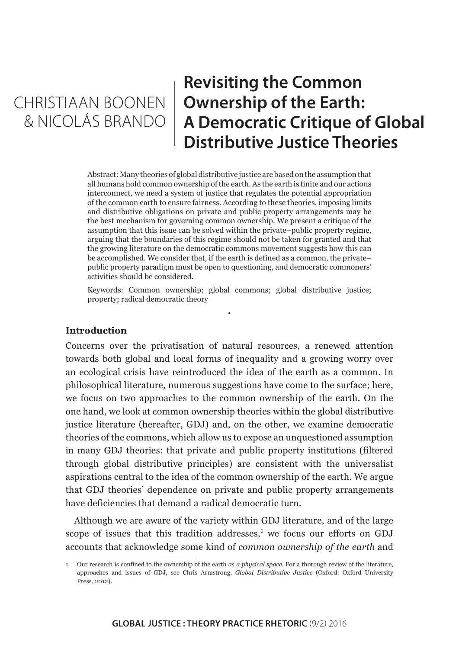## CHRISTIAAN BOONEN & NICOLÁS BRANDO

## **Revisiting the Common Ownership of the Earth: A Democratic Critique of Global Distributive Justice Theories**

Abstract: Many theories of global distributive justice are based on the assumption that all humans hold common ownership of the earth. As the earth is finite and our actions interconnect, we need a system of justice that regulates the potential appropriation of the common earth to ensure fairness. According to these theories, imposing limits and distributive obligations on private and public property arrangements may be the best mechanism for governing common ownership. We present a critique of the assumption that this issue can be solved within the private–public property regime, arguing that the boundaries of this regime should not be taken for granted and that the growing literature on the democratic commons movement suggests how this can be accomplished. We consider that, if the earth is defined as a common, the private– public property paradigm must be open to questioning, and democratic commoners' activities should be considered.

Keywords: Common ownership; global commons; global distributive justice; property; radical democratic theory

•

#### **Introduction**

Concerns over the privatisation of natural resources, a renewed attention towards both global and local forms of inequality and a growing worry over an ecological crisis have reintroduced the idea of the earth as a common. In philosophical literature, numerous suggestions have come to the surface; here, we focus on two approaches to the common ownership of the earth. On the one hand, we look at common ownership theories within the global distributive justice literature (hereafter, GDJ) and, on the other, we examine democratic theories of the commons, which allow us to expose an unquestioned assumption in many GDJ theories: that private and public property institutions (filtered through global distributive principles) are consistent with the universalist aspirations central to the idea of the common ownership of the earth. We argue that GDJ theories' dependence on private and public property arrangements have deficiencies that demand a radical democratic turn.

Although we are aware of the variety within GDJ literature, and of the large scope of issues that this tradition addresses,<sup>1</sup> we focus our efforts on GDJ accounts that acknowledge some kind of *common ownership of the earth* and

<sup>1</sup> Our research is confined to the ownership of the earth *as a physical space*. For a thorough review of the literature, approaches and issues of GDJ, see Chris Armstrong, *Global Distributive Justice* (Oxford: Oxford University Press, 2012).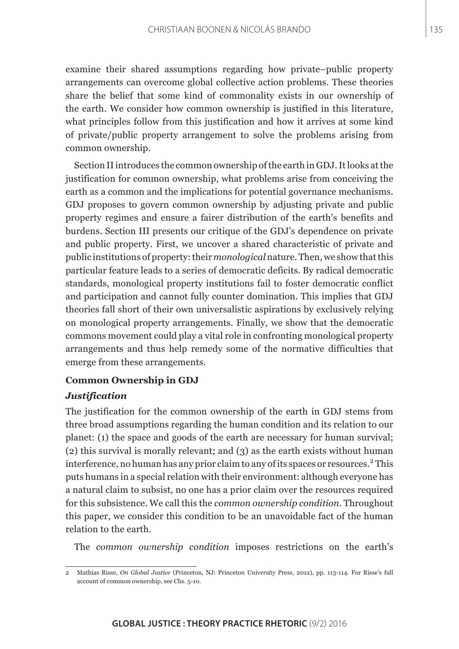examine their shared assumptions regarding how private–public property arrangements can overcome global collective action problems. These theories share the belief that some kind of commonality exists in our ownership of the earth. We consider how common ownership is justified in this literature, what principles follow from this justification and how it arrives at some kind of private/public property arrangement to solve the problems arising from common ownership.

Section II introduces the common ownership of the earth in GDJ. It looks at the justification for common ownership, what problems arise from conceiving the earth as a common and the implications for potential governance mechanisms. GDJ proposes to govern common ownership by adjusting private and public property regimes and ensure a fairer distribution of the earth's benefits and burdens. Section III presents our critique of the GDJ's dependence on private and public property. First, we uncover a shared characteristic of private and public institutions of property: their *monological* nature. Then, we show that this particular feature leads to a series of democratic deficits. By radical democratic standards, monological property institutions fail to foster democratic conflict and participation and cannot fully counter domination. This implies that GDJ theories fall short of their own universalistic aspirations by exclusively relying on monological property arrangements. Finally, we show that the democratic commons movement could play a vital role in confronting monological property arrangements and thus help remedy some of the normative difficulties that emerge from these arrangements.

#### **Common Ownership in GDJ**

## *Justification*

The justification for the common ownership of the earth in GDJ stems from three broad assumptions regarding the human condition and its relation to our planet: (1) the space and goods of the earth are necessary for human survival; (2) this survival is morally relevant; and (3) as the earth exists without human interference, no human has any prior claim to any of its spaces or resources.<sup>2</sup> This puts humans in a special relation with their environment: although everyone has a natural claim to subsist, no one has a prior claim over the resources required for this subsistence. We call this the *common ownership condition*. Throughout this paper, we consider this condition to be an unavoidable fact of the human relation to the earth.

The *common ownership condition* imposes restrictions on the earth's

<sup>2</sup> Mathias Risse, *On Global Justice* (Princeton, NJ: Princeton University Press, 2012), pp. 113-114. For Risse's full account of common ownership, see Chs. 5-10.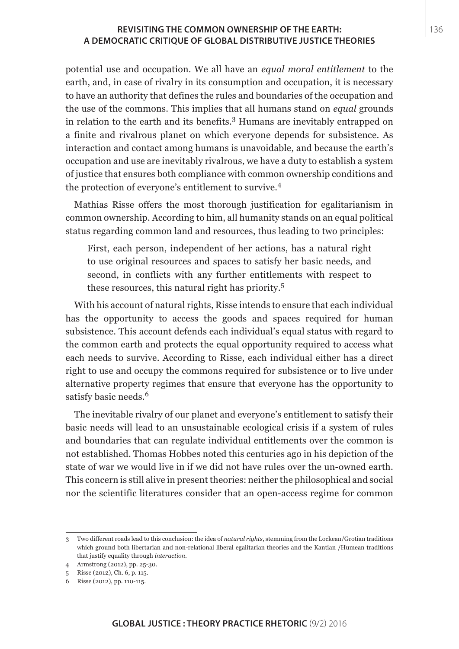potential use and occupation. We all have an *equal moral entitlement* to the earth, and, in case of rivalry in its consumption and occupation, it is necessary to have an authority that defines the rules and boundaries of the occupation and the use of the commons. This implies that all humans stand on *equal* grounds in relation to the earth and its benefits.<sup>3</sup> Humans are inevitably entrapped on a finite and rivalrous planet on which everyone depends for subsistence. As interaction and contact among humans is unavoidable, and because the earth's occupation and use are inevitably rivalrous, we have a duty to establish a system of justice that ensures both compliance with common ownership conditions and the protection of everyone's entitlement to survive.<sup>4</sup>

Mathias Risse offers the most thorough justification for egalitarianism in common ownership. According to him, all humanity stands on an equal political status regarding common land and resources, thus leading to two principles:

First, each person, independent of her actions, has a natural right to use original resources and spaces to satisfy her basic needs, and second, in conflicts with any further entitlements with respect to these resources, this natural right has priority.<sup>5</sup>

With his account of natural rights, Risse intends to ensure that each individual has the opportunity to access the goods and spaces required for human subsistence. This account defends each individual's equal status with regard to the common earth and protects the equal opportunity required to access what each needs to survive. According to Risse, each individual either has a direct right to use and occupy the commons required for subsistence or to live under alternative property regimes that ensure that everyone has the opportunity to satisfy basic needs.<sup>6</sup>

The inevitable rivalry of our planet and everyone's entitlement to satisfy their basic needs will lead to an unsustainable ecological crisis if a system of rules and boundaries that can regulate individual entitlements over the common is not established. Thomas Hobbes noted this centuries ago in his depiction of the state of war we would live in if we did not have rules over the un-owned earth. This concern is still alive in present theories: neither the philosophical and social nor the scientific literatures consider that an open-access regime for common

<sup>3</sup> Two different roads lead to this conclusion: the idea of *natural rights*, stemming from the Lockean/Grotian traditions which ground both libertarian and non-relational liberal egalitarian theories and the Kantian /Humean traditions that justify equality through *interaction*.

<sup>4</sup> Armstrong (2012), pp. 25-30.

<sup>5</sup> Risse (2012), Ch. 6, p. 115.

<sup>6</sup> Risse (2012), pp. 110-115.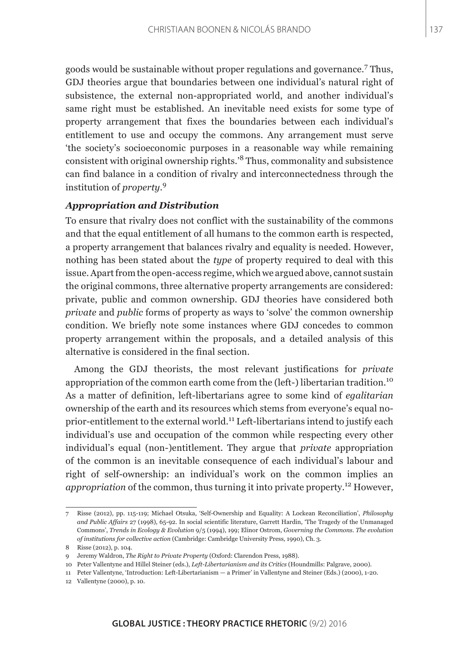goods would be sustainable without proper regulations and governance.<sup>7</sup> Thus, GDJ theories argue that boundaries between one individual's natural right of subsistence, the external non-appropriated world, and another individual's same right must be established. An inevitable need exists for some type of property arrangement that fixes the boundaries between each individual's entitlement to use and occupy the commons. Any arrangement must serve 'the society's socioeconomic purposes in a reasonable way while remaining consistent with original ownership rights.'8 Thus, commonality and subsistence can find balance in a condition of rivalry and interconnectedness through the institution of *property*. 9

#### *Appropriation and Distribution*

To ensure that rivalry does not conflict with the sustainability of the commons and that the equal entitlement of all humans to the common earth is respected, a property arrangement that balances rivalry and equality is needed. However, nothing has been stated about the *type* of property required to deal with this issue. Apart from the open-access regime, which we argued above, cannot sustain the original commons, three alternative property arrangements are considered: private, public and common ownership. GDJ theories have considered both *private* and *public* forms of property as ways to 'solve' the common ownership condition. We briefly note some instances where GDJ concedes to common property arrangement within the proposals, and a detailed analysis of this alternative is considered in the final section.

Among the GDJ theorists, the most relevant justifications for *private* appropriation of the common earth come from the (left-) libertarian tradition.<sup>10</sup> As a matter of definition, left-libertarians agree to some kind of *egalitarian* ownership of the earth and its resources which stems from everyone's equal noprior-entitlement to the external world.11 Left-libertarians intend to justify each individual's use and occupation of the common while respecting every other individual's equal (non-)entitlement. They argue that *private* appropriation of the common is an inevitable consequence of each individual's labour and right of self-ownership: an individual's work on the common implies an *appropriation* of the common, thus turning it into private property.12 However,

<sup>7</sup> Risse (2012), pp. 115-119; Michael Otsuka, 'Self-Ownership and Equality: A Lockean Reconciliation', *Philosophy and Public Affairs* 27 (1998), 65-92. In social scientific literature, Garrett Hardin, 'The Tragedy of the Unmanaged Commons', *Trends in Ecology & Evolution* 9/5 (1994), 199; Elinor Ostrom, *Governing the Commons. The evolution of institutions for collective action* (Cambridge: Cambridge University Press, 1990), Ch. 3.

<sup>8</sup> Risse (2012), p. 104.

<sup>9</sup> Jeremy Waldron, *The Right to Private Property* (Oxford: Clarendon Press, 1988).

<sup>10</sup> Peter Vallentyne and Hillel Steiner (eds.), *Left-Libertarianism and its Critics* (Houndmills: Palgrave, 2000).

<sup>11</sup> Peter Vallentyne, 'Introduction: Left-Libertarianism — a Primer' in Vallentyne and Steiner (Eds.) (2000), 1-20.

<sup>12</sup> Vallentyne (2000), p. 10.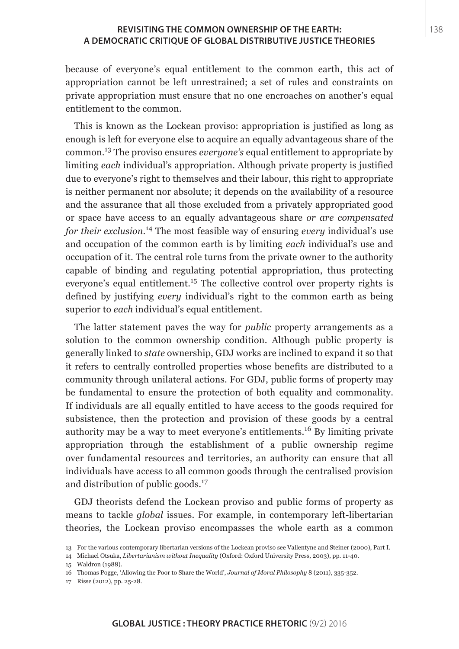because of everyone's equal entitlement to the common earth, this act of appropriation cannot be left unrestrained; a set of rules and constraints on private appropriation must ensure that no one encroaches on another's equal entitlement to the common.

This is known as the Lockean proviso: appropriation is justified as long as enough is left for everyone else to acquire an equally advantageous share of the common.13 The proviso ensures *everyone's* equal entitlement to appropriate by limiting *each* individual's appropriation. Although private property is justified due to everyone's right to themselves and their labour, this right to appropriate is neither permanent nor absolute; it depends on the availability of a resource and the assurance that all those excluded from a privately appropriated good or space have access to an equally advantageous share *or are compensated for their exclusion*. 14 The most feasible way of ensuring *every* individual's use and occupation of the common earth is by limiting *each* individual's use and occupation of it. The central role turns from the private owner to the authority capable of binding and regulating potential appropriation, thus protecting everyone's equal entitlement.<sup>15</sup> The collective control over property rights is defined by justifying *every* individual's right to the common earth as being superior to *each* individual's equal entitlement.

The latter statement paves the way for *public* property arrangements as a solution to the common ownership condition. Although public property is generally linked to *state* ownership, GDJ works are inclined to expand it so that it refers to centrally controlled properties whose benefits are distributed to a community through unilateral actions. For GDJ, public forms of property may be fundamental to ensure the protection of both equality and commonality. If individuals are all equally entitled to have access to the goods required for subsistence, then the protection and provision of these goods by a central authority may be a way to meet everyone's entitlements.16 By limiting private appropriation through the establishment of a public ownership regime over fundamental resources and territories, an authority can ensure that all individuals have access to all common goods through the centralised provision and distribution of public goods.<sup>17</sup>

GDJ theorists defend the Lockean proviso and public forms of property as means to tackle *global* issues. For example, in contemporary left-libertarian theories, the Lockean proviso encompasses the whole earth as a common

<sup>13</sup> For the various contemporary libertarian versions of the Lockean proviso see Vallentyne and Steiner (2000), Part I.

<sup>14</sup> Michael Otsuka, *Libertarianism without Inequality* (Oxford: Oxford University Press, 2003), pp. 11-40.

<sup>15</sup> Waldron (1988).

<sup>16</sup> Thomas Pogge, 'Allowing the Poor to Share the World', *Journal of Moral Philosophy* 8 (2011), 335-352.

<sup>17</sup> Risse (2012), pp. 25-28.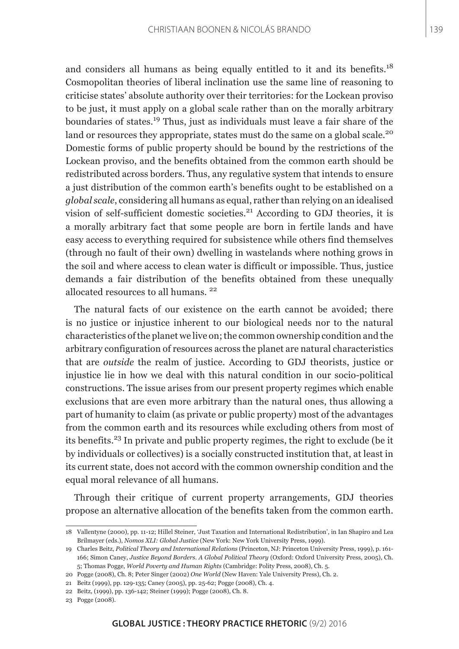and considers all humans as being equally entitled to it and its benefits.<sup>18</sup> Cosmopolitan theories of liberal inclination use the same line of reasoning to criticise states' absolute authority over their territories: for the Lockean proviso to be just, it must apply on a global scale rather than on the morally arbitrary boundaries of states.19 Thus, just as individuals must leave a fair share of the land or resources they appropriate, states must do the same on a global scale.<sup>20</sup> Domestic forms of public property should be bound by the restrictions of the Lockean proviso, and the benefits obtained from the common earth should be redistributed across borders. Thus, any regulative system that intends to ensure a just distribution of the common earth's benefits ought to be established on a *global scale*, considering all humans as equal, rather than relying on an idealised vision of self-sufficient domestic societies. $21$  According to GDJ theories, it is a morally arbitrary fact that some people are born in fertile lands and have easy access to everything required for subsistence while others find themselves (through no fault of their own) dwelling in wastelands where nothing grows in the soil and where access to clean water is difficult or impossible. Thus, justice demands a fair distribution of the benefits obtained from these unequally allocated resources to all humans. <sup>22</sup>

The natural facts of our existence on the earth cannot be avoided; there is no justice or injustice inherent to our biological needs nor to the natural characteristics of the planet we live on; the common ownership condition and the arbitrary configuration of resources across the planet are natural characteristics that are *outside* the realm of justice. According to GDJ theorists, justice or injustice lie in how we deal with this natural condition in our socio-political constructions. The issue arises from our present property regimes which enable exclusions that are even more arbitrary than the natural ones, thus allowing a part of humanity to claim (as private or public property) most of the advantages from the common earth and its resources while excluding others from most of its benefits.23 In private and public property regimes, the right to exclude (be it by individuals or collectives) is a socially constructed institution that, at least in its current state, does not accord with the common ownership condition and the equal moral relevance of all humans.

Through their critique of current property arrangements, GDJ theories propose an alternative allocation of the benefits taken from the common earth.

<sup>18</sup> Vallentyne (2000), pp. 11-12; Hillel Steiner, 'Just Taxation and International Redistribution', in Ian Shapiro and Lea Brilmayer (eds.), *Nomos XLI: Global Justice* (New York: New York University Press, 1999).

<sup>19</sup> Charles Beitz, *Political Theory and International Relations* (Princeton, NJ: Princeton University Press, 1999), p. 161- 166; Simon Caney, *Justice Beyond Borders. A Global Political Theory* (Oxford: Oxford University Press, 2005), Ch. 5; Thomas Pogge, *World Poverty and Human Rights* (Cambridge: Polity Press, 2008), Ch. 5.

<sup>20</sup> Pogge (2008), Ch. 8; Peter Singer (2002) *One World* (New Haven: Yale University Press), Ch. 2.

<sup>21</sup> Beitz (1999), pp. 129-135; Caney (2005), pp. 25-62; Pogge (2008), Ch. 4.

<sup>22</sup> Beitz, (1999), pp. 136-142; Steiner (1999); Pogge (2008), Ch. 8.

<sup>23</sup> Pogge (2008).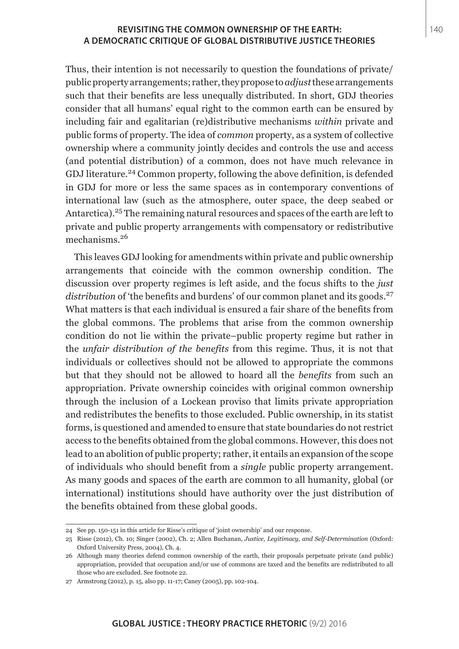Thus, their intention is not necessarily to question the foundations of private/ public property arrangements; rather, they propose to *adjust* these arrangements such that their benefits are less unequally distributed. In short, GDJ theories consider that all humans' equal right to the common earth can be ensured by including fair and egalitarian (re)distributive mechanisms *within* private and public forms of property. The idea of *common* property, as a system of collective ownership where a community jointly decides and controls the use and access (and potential distribution) of a common, does not have much relevance in GDJ literature.24 Common property, following the above definition, is defended in GDJ for more or less the same spaces as in contemporary conventions of international law (such as the atmosphere, outer space, the deep seabed or Antarctica).25 The remaining natural resources and spaces of the earth are left to private and public property arrangements with compensatory or redistributive mechanisms.<sup>26</sup>

This leaves GDJ looking for amendments within private and public ownership arrangements that coincide with the common ownership condition. The discussion over property regimes is left aside, and the focus shifts to the *just*  distribution of 'the benefits and burdens' of our common planet and its goods.<sup>27</sup> What matters is that each individual is ensured a fair share of the benefits from the global commons. The problems that arise from the common ownership condition do not lie within the private–public property regime but rather in the *unfair distribution of the benefits* from this regime. Thus, it is not that individuals or collectives should not be allowed to appropriate the commons but that they should not be allowed to hoard all the *benefits* from such an appropriation. Private ownership coincides with original common ownership through the inclusion of a Lockean proviso that limits private appropriation and redistributes the benefits to those excluded. Public ownership, in its statist forms, is questioned and amended to ensure that state boundaries do not restrict access to the benefits obtained from the global commons. However, this does not lead to an abolition of public property; rather, it entails an expansion of the scope of individuals who should benefit from a *single* public property arrangement. As many goods and spaces of the earth are common to all humanity, global (or international) institutions should have authority over the just distribution of the benefits obtained from these global goods.

<sup>24</sup> See pp. 150-151 in this article for Risse's critique of 'joint ownership' and our response.

<sup>25</sup> Risse (2012), Ch. 10; Singer (2002), Ch. 2; Allen Buchanan, *Justice, Legitimacy, and Self-Determination* (Oxford: Oxford University Press, 2004), Ch. 4.

<sup>26</sup> Although many theories defend common ownership of the earth, their proposals perpetuate private (and public) appropriation, provided that occupation and/or use of commons are taxed and the benefits are redistributed to all those who are excluded. See footnote 22.

<sup>27</sup> Armstrong (2012), p. 15, also pp. 11-17; Caney (2005), pp. 102-104.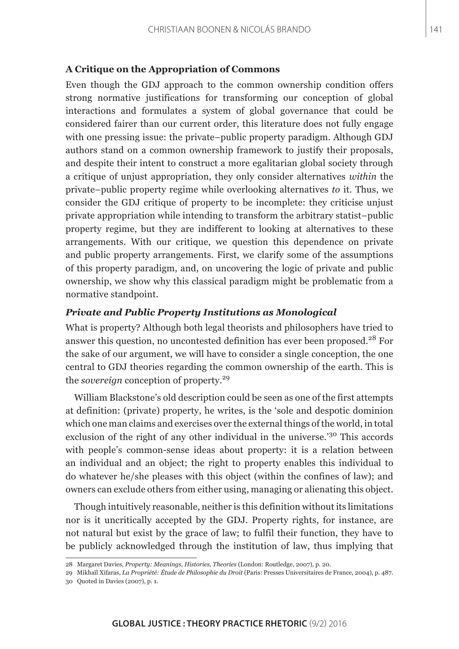#### **A Critique on the Appropriation of Commons**

Even though the GDJ approach to the common ownership condition offers strong normative justifications for transforming our conception of global interactions and formulates a system of global governance that could be considered fairer than our current order, this literature does not fully engage with one pressing issue: the private–public property paradigm. Although GDJ authors stand on a common ownership framework to justify their proposals, and despite their intent to construct a more egalitarian global society through a critique of unjust appropriation, they only consider alternatives *within* the private–public property regime while overlooking alternatives *to* it. Thus, we consider the GDJ critique of property to be incomplete: they criticise unjust private appropriation while intending to transform the arbitrary statist–public property regime, but they are indifferent to looking at alternatives to these arrangements. With our critique, we question this dependence on private and public property arrangements. First, we clarify some of the assumptions of this property paradigm, and, on uncovering the logic of private and public ownership, we show why this classical paradigm might be problematic from a normative standpoint.

### *Private and Public Property Institutions as Monological*

What is property? Although both legal theorists and philosophers have tried to answer this question, no uncontested definition has ever been proposed.<sup>28</sup> For the sake of our argument, we will have to consider a single conception, the one central to GDJ theories regarding the common ownership of the earth. This is the *sovereign* conception of property.<sup>29</sup>

William Blackstone's old description could be seen as one of the first attempts at definition: (private) property, he writes, is the 'sole and despotic dominion which one man claims and exercises over the external things of the world, in total exclusion of the right of any other individual in the universe.'30 This accords with people's common-sense ideas about property: it is a relation between an individual and an object; the right to property enables this individual to do whatever he/she pleases with this object (within the confines of law); and owners can exclude others from either using, managing or alienating this object.

Though intuitively reasonable, neither is this definition without its limitations nor is it uncritically accepted by the GDJ. Property rights, for instance, are not natural but exist by the grace of law; to fulfil their function, they have to be publicly acknowledged through the institution of law, thus implying that

<sup>28</sup> Margaret Davies, *Property: Meanings, Histories, Theories* (London: Routledge, 2007), p. 20.

<sup>29</sup> Mikhaïl Xifaras, *La Propriété: Étude de Philosophie du Droit* (Paris: Presses Universitaires de France, 2004), p. 487. 30 Quoted in Davies (2007), p. 1.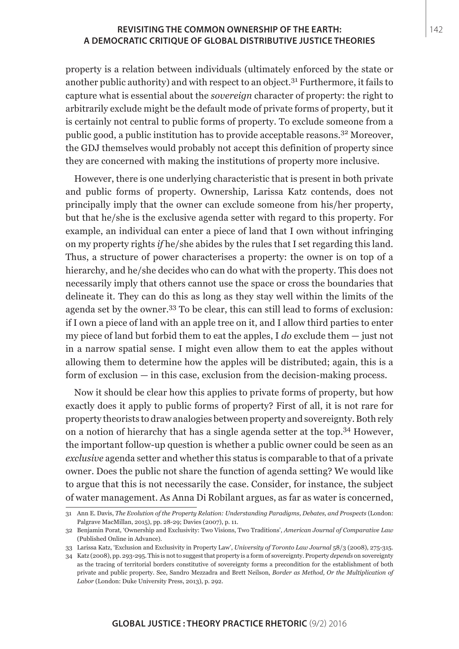property is a relation between individuals (ultimately enforced by the state or another public authority) and with respect to an object.<sup>31</sup> Furthermore, it fails to capture what is essential about the *sovereign* character of property: the right to arbitrarily exclude might be the default mode of private forms of property, but it is certainly not central to public forms of property. To exclude someone from a public good, a public institution has to provide acceptable reasons.32 Moreover, the GDJ themselves would probably not accept this definition of property since they are concerned with making the institutions of property more inclusive.

However, there is one underlying characteristic that is present in both private and public forms of property. Ownership, Larissa Katz contends, does not principally imply that the owner can exclude someone from his/her property, but that he/she is the exclusive agenda setter with regard to this property. For example, an individual can enter a piece of land that I own without infringing on my property rights *if* he/she abides by the rules that I set regarding this land. Thus, a structure of power characterises a property: the owner is on top of a hierarchy, and he/she decides who can do what with the property. This does not necessarily imply that others cannot use the space or cross the boundaries that delineate it. They can do this as long as they stay well within the limits of the agenda set by the owner.<sup>33</sup> To be clear, this can still lead to forms of exclusion: if I own a piece of land with an apple tree on it, and I allow third parties to enter my piece of land but forbid them to eat the apples, I *do* exclude them — just not in a narrow spatial sense. I might even allow them to eat the apples without allowing them to determine how the apples will be distributed; again, this is a form of exclusion — in this case, exclusion from the decision-making process.

Now it should be clear how this applies to private forms of property, but how exactly does it apply to public forms of property? First of all, it is not rare for property theorists to draw analogies between property and sovereignty. Both rely on a notion of hierarchy that has a single agenda setter at the top.<sup>34</sup> However, the important follow-up question is whether a public owner could be seen as an *exclusive* agenda setter and whether this status is comparable to that of a private owner. Does the public not share the function of agenda setting? We would like to argue that this is not necessarily the case. Consider, for instance, the subject of water management. As Anna Di Robilant argues, as far as water is concerned,

<sup>31</sup> Ann E. Davis, *The Evolution of the Property Relation: Understanding Paradigms, Debates, and Prospects* (London: Palgrave MacMillan, 2015), pp. 28-29; Davies (2007), p. 11.

<sup>32</sup> Benjamin Porat, 'Ownership and Exclusivity: Two Visions, Two Traditions', *American Journal of Comparative Law* (Published Online in Advance).

<sup>33</sup> Larissa Katz, 'Exclusion and Exclusivity in Property Law', *University of Toronto Law Journal* 58/3 (2008), 275-315.

<sup>34</sup> Katz (2008), pp. 293-295. This is not to suggest that property is a form of sovereignty. Property *depends* on sovereignty as the tracing of territorial borders constitutive of sovereignty forms a precondition for the establishment of both private and public property. See, Sandro Mezzadra and Brett Neilson, *Border as Method, Or the Multiplication of Labor* (London: Duke University Press, 2013), p. 292.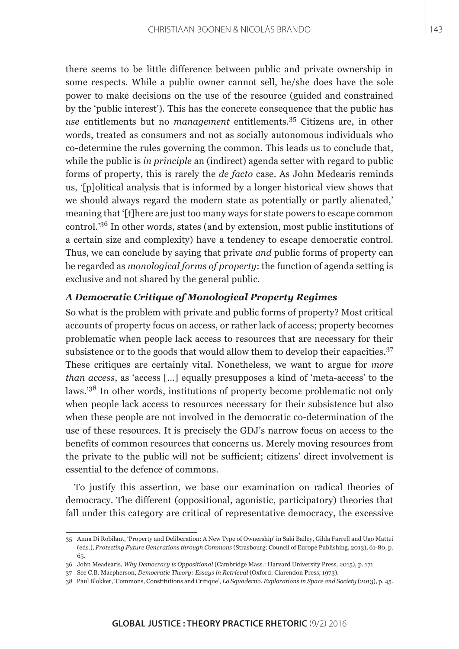there seems to be little difference between public and private ownership in some respects. While a public owner cannot sell, he/she does have the sole power to make decisions on the use of the resource (guided and constrained by the 'public interest'). This has the concrete consequence that the public has *use* entitlements but no *management* entitlements.35 Citizens are, in other words, treated as consumers and not as socially autonomous individuals who co-determine the rules governing the common. This leads us to conclude that, while the public is *in principle* an (indirect) agenda setter with regard to public forms of property, this is rarely the *de facto* case. As John Medearis reminds us, '[p]olitical analysis that is informed by a longer historical view shows that we should always regard the modern state as potentially or partly alienated,' meaning that '[t]here are just too many ways for state powers to escape common control.'36 In other words, states (and by extension, most public institutions of a certain size and complexity) have a tendency to escape democratic control. Thus, we can conclude by saying that private *and* public forms of property can be regarded as *monological forms of property*: the function of agenda setting is exclusive and not shared by the general public.

### *A Democratic Critique of Monological Property Regimes*

So what is the problem with private and public forms of property? Most critical accounts of property focus on access, or rather lack of access; property becomes problematic when people lack access to resources that are necessary for their subsistence or to the goods that would allow them to develop their capacities.<sup>37</sup> These critiques are certainly vital. Nonetheless, we want to argue for *more than access*, as 'access […] equally presupposes a kind of 'meta-access' to the laws.'38 In other words, institutions of property become problematic not only when people lack access to resources necessary for their subsistence but also when these people are not involved in the democratic co-determination of the use of these resources. It is precisely the GDJ's narrow focus on access to the benefits of common resources that concerns us. Merely moving resources from the private to the public will not be sufficient; citizens' direct involvement is essential to the defence of commons.

To justify this assertion, we base our examination on radical theories of democracy. The different (oppositional, agonistic, participatory) theories that fall under this category are critical of representative democracy, the excessive

<sup>35</sup> Anna Di Robilant, 'Property and Deliberation: A New Type of Ownership' in Saki Bailey, Gilda Farrell and Ugo Mattei (eds.), *Protecting Future Generations through Commons* (Strasbourg: Council of Europe Publishing, 2013), 61-80, p. 65.

<sup>36</sup> John Meadearis, *Why Democracy is Oppositional* (Cambridge Mass.: Harvard University Press, 2015), p. 171

<sup>37</sup> See C.B. Macpherson, *Democratic Theory: Essays in Retrieval* (Oxford: Clarendon Press, 1973).

<sup>38</sup> Paul Blokker, 'Commons, Constitutions and Critique', *Lo Squaderno. Explorations in Space and Society* (2013), p. 45.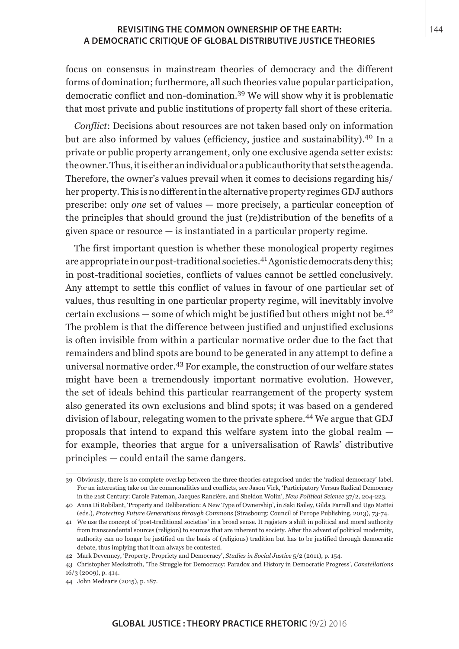focus on consensus in mainstream theories of democracy and the different forms of domination; furthermore, all such theories value popular participation, democratic conflict and non-domination.39 We will show why it is problematic that most private and public institutions of property fall short of these criteria.

*Conflict*: Decisions about resources are not taken based only on information but are also informed by values (efficiency, justice and sustainability).40 In a private or public property arrangement, only one exclusive agenda setter exists: the owner. Thus, it is either an individual or a public authority that sets the agenda. Therefore, the owner's values prevail when it comes to decisions regarding his/ her property. This is no different in the alternative property regimes GDJ authors prescribe: only *one* set of values — more precisely, a particular conception of the principles that should ground the just (re)distribution of the benefits of a given space or resource — is instantiated in a particular property regime.

The first important question is whether these monological property regimes are appropriate in our post-traditional societies.<sup>41</sup> Agonistic democrats deny this; in post-traditional societies, conflicts of values cannot be settled conclusively. Any attempt to settle this conflict of values in favour of one particular set of values, thus resulting in one particular property regime, will inevitably involve certain exclusions — some of which might be justified but others might not be.<sup>42</sup> The problem is that the difference between justified and unjustified exclusions is often invisible from within a particular normative order due to the fact that remainders and blind spots are bound to be generated in any attempt to define a universal normative order.43 For example, the construction of our welfare states might have been a tremendously important normative evolution. However, the set of ideals behind this particular rearrangement of the property system also generated its own exclusions and blind spots; it was based on a gendered division of labour, relegating women to the private sphere.<sup>44</sup> We argue that GDJ proposals that intend to expand this welfare system into the global realm for example, theories that argue for a universalisation of Rawls' distributive principles — could entail the same dangers.

<sup>39</sup> Obviously, there is no complete overlap between the three theories categorised under the 'radical democracy' label. For an interesting take on the commonalities and conflicts, see Jason Vick, 'Participatory Versus Radical Democracy in the 21st Century: Carole Pateman, Jacques Rancière, and Sheldon Wolin', *New Political Science* 37/2, 204-223.

<sup>40</sup> Anna Di Robilant, 'Property and Deliberation: A New Type of Ownership', in Saki Bailey, Gilda Farrell and Ugo Mattei (eds.), *Protecting Future Generations through Commons* (Strasbourg: Council of Europe Publishing, 2013), 73-74.

<sup>41</sup> We use the concept of 'post-traditional societies' in a broad sense. It registers a shift in political and moral authority from transcendental sources (religion) to sources that are inherent to society. After the advent of political modernity, authority can no longer be justified on the basis of (religious) tradition but has to be justified through democratic debate, thus implying that it can always be contested.

<sup>42</sup> Mark Devenney, 'Property, Propriety and Democracy', *Studies in Social Justice* 5/2 (2011), p. 154.

<sup>43</sup> Christopher Meckstroth, 'The Struggle for Democracy: Paradox and History in Democratic Progress', *Constellations* 16/3 (2009), p. 414.

<sup>44</sup> John Medearis (2015), p. 187.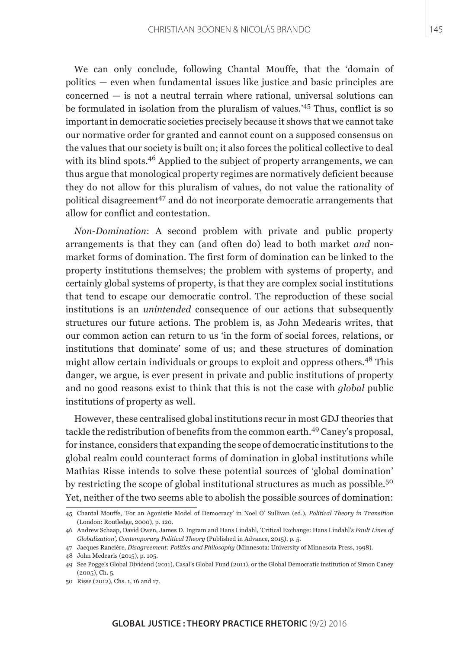We can only conclude, following Chantal Mouffe, that the 'domain of politics — even when fundamental issues like justice and basic principles are concerned — is not a neutral terrain where rational, universal solutions can be formulated in isolation from the pluralism of values.'45 Thus, conflict is so important in democratic societies precisely because it shows that we cannot take our normative order for granted and cannot count on a supposed consensus on the values that our society is built on; it also forces the political collective to deal with its blind spots.<sup>46</sup> Applied to the subject of property arrangements, we can thus argue that monological property regimes are normatively deficient because they do not allow for this pluralism of values, do not value the rationality of political disagreement<sup>47</sup> and do not incorporate democratic arrangements that allow for conflict and contestation.

*Non-Domination*: A second problem with private and public property arrangements is that they can (and often do) lead to both market *and* nonmarket forms of domination. The first form of domination can be linked to the property institutions themselves; the problem with systems of property, and certainly global systems of property, is that they are complex social institutions that tend to escape our democratic control. The reproduction of these social institutions is an *unintended* consequence of our actions that subsequently structures our future actions. The problem is, as John Medearis writes, that our common action can return to us 'in the form of social forces, relations, or institutions that dominate' some of us; and these structures of domination might allow certain individuals or groups to exploit and oppress others.48 This danger, we argue, is ever present in private and public institutions of property and no good reasons exist to think that this is not the case with *global* public institutions of property as well.

However, these centralised global institutions recur in most GDJ theories that tackle the redistribution of benefits from the common earth.49 Caney's proposal, for instance, considers that expanding the scope of democratic institutions to the global realm could counteract forms of domination in global institutions while Mathias Risse intends to solve these potential sources of 'global domination' by restricting the scope of global institutional structures as much as possible.<sup>50</sup> Yet, neither of the two seems able to abolish the possible sources of domination:

<sup>45</sup> Chantal Mouffe, 'For an Agonistic Model of Democracy' in Noel O' Sullivan (ed.), *Political Theory in Transition* (London: Routledge, 2000), p. 120.

<sup>46</sup> Andrew Schaap, David Owen, James D. Ingram and Hans Lindahl, 'Critical Exchange: Hans Lindahl's *Fault Lines of Globalization', Contemporary Political Theory* (Published in Advance, 2015), p. 5.

<sup>47</sup> Jacques Rancière, *Disagreement: Politics and Philosophy* (Minnesota: University of Minnesota Press, 1998).

<sup>48</sup> John Medearis (2015), p. 105.

<sup>49</sup> See Pogge's Global Dividend (2011), Casal's Global Fund (2011), or the Global Democratic institution of Simon Caney (2005), Ch. 5.

<sup>50</sup> Risse (2012), Chs. 1, 16 and 17.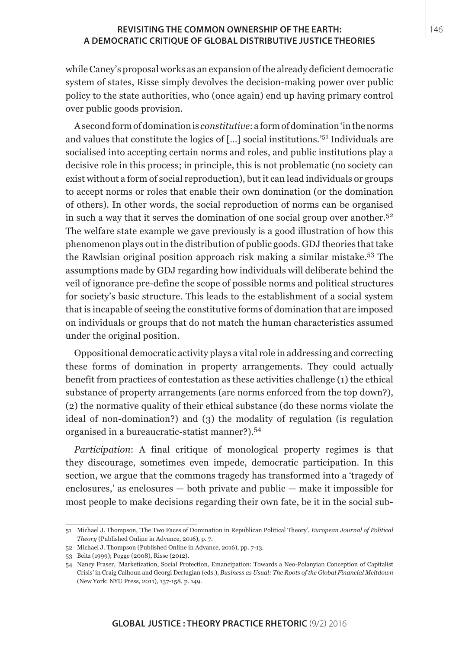while Caney's proposal works as an expansion of the already deficient democratic system of states, Risse simply devolves the decision-making power over public policy to the state authorities, who (once again) end up having primary control over public goods provision.

A second form of domination is *constitutive*: a form of domination 'in the norms and values that constitute the logics of […] social institutions.'51 Individuals are socialised into accepting certain norms and roles, and public institutions play a decisive role in this process; in principle, this is not problematic (no society can exist without a form of social reproduction), but it can lead individuals or groups to accept norms or roles that enable their own domination (or the domination of others). In other words, the social reproduction of norms can be organised in such a way that it serves the domination of one social group over another.<sup>52</sup> The welfare state example we gave previously is a good illustration of how this phenomenon plays out in the distribution of public goods. GDJ theories that take the Rawlsian original position approach risk making a similar mistake.53 The assumptions made by GDJ regarding how individuals will deliberate behind the veil of ignorance pre-define the scope of possible norms and political structures for society's basic structure. This leads to the establishment of a social system that is incapable of seeing the constitutive forms of domination that are imposed on individuals or groups that do not match the human characteristics assumed under the original position.

Oppositional democratic activity plays a vital role in addressing and correcting these forms of domination in property arrangements. They could actually benefit from practices of contestation as these activities challenge (1) the ethical substance of property arrangements (are norms enforced from the top down?), (2) the normative quality of their ethical substance (do these norms violate the ideal of non-domination?) and (3) the modality of regulation (is regulation organised in a bureaucratic-statist manner?).<sup>54</sup>

*Participation*: A final critique of monological property regimes is that they discourage, sometimes even impede, democratic participation. In this section, we argue that the commons tragedy has transformed into a 'tragedy of enclosures,' as enclosures — both private and public — make it impossible for most people to make decisions regarding their own fate, be it in the social sub-

<sup>51</sup> Michael J. Thompson, 'The Two Faces of Domination in Republican Political Theory', *European Journal of Political Theory* (Published Online in Advance, 2016), p. 7.

<sup>52</sup> Michael J. Thompson (Published Online in Advance, 2016), pp. 7-13.

<sup>53</sup> Beitz (1999); Pogge (2008), Risse (2012).

<sup>54</sup> Nancy Fraser, 'Marketization, Social Protection, Emancipation: Towards a Neo-Polanyian Conception of Capitalist Crisis' in Craig Calhoun and Georgi Derlugian (eds.), *Business as Usual: The Roots of the Global Financial Meltdown* (New York: NYU Press, 2011), 137-158, p. 149.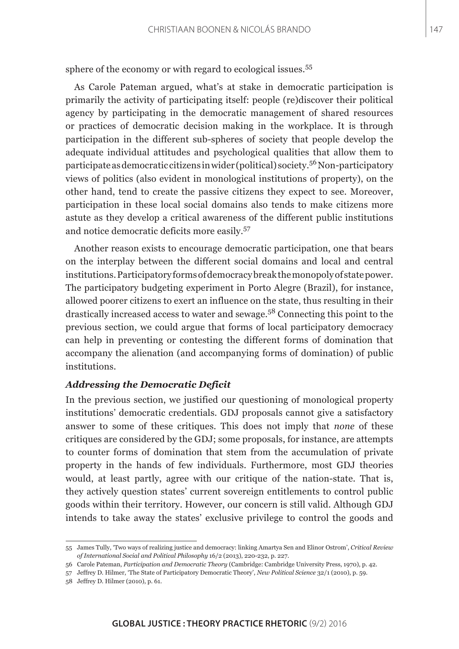sphere of the economy or with regard to ecological issues.<sup>55</sup>

As Carole Pateman argued, what's at stake in democratic participation is primarily the activity of participating itself: people (re)discover their political agency by participating in the democratic management of shared resources or practices of democratic decision making in the workplace. It is through participation in the different sub-spheres of society that people develop the adequate individual attitudes and psychological qualities that allow them to participate as democratic citizens in wider (political) society.56 Non-participatory views of politics (also evident in monological institutions of property), on the other hand, tend to create the passive citizens they expect to see. Moreover, participation in these local social domains also tends to make citizens more astute as they develop a critical awareness of the different public institutions and notice democratic deficits more easily.<sup>57</sup>

Another reason exists to encourage democratic participation, one that bears on the interplay between the different social domains and local and central institutions. Participatory forms of democracy break the monopoly of state power. The participatory budgeting experiment in Porto Alegre (Brazil), for instance, allowed poorer citizens to exert an influence on the state, thus resulting in their drastically increased access to water and sewage.58 Connecting this point to the previous section, we could argue that forms of local participatory democracy can help in preventing or contesting the different forms of domination that accompany the alienation (and accompanying forms of domination) of public institutions.

#### *Addressing the Democratic Deficit*

In the previous section, we justified our questioning of monological property institutions' democratic credentials. GDJ proposals cannot give a satisfactory answer to some of these critiques. This does not imply that *none* of these critiques are considered by the GDJ; some proposals, for instance, are attempts to counter forms of domination that stem from the accumulation of private property in the hands of few individuals. Furthermore, most GDJ theories would, at least partly, agree with our critique of the nation-state. That is, they actively question states' current sovereign entitlements to control public goods within their territory. However, our concern is still valid. Although GDJ intends to take away the states' exclusive privilege to control the goods and

<sup>55</sup> James Tully, 'Two ways of realizing justice and democracy: linking Amartya Sen and Elinor Ostrom', *Critical Review of International Social and Political Philosophy* 16/2 (2013), 220-232, p. 227.

<sup>56</sup> Carole Pateman, *Participation and Democratic Theory* (Cambridge: Cambridge University Press, 1970), p. 42.

<sup>57</sup> Jeffrey D. Hilmer, 'The State of Participatory Democratic Theory', *New Political Science* 32/1 (2010), p. 59.

<sup>58</sup> Jeffrey D. Hilmer (2010), p. 61.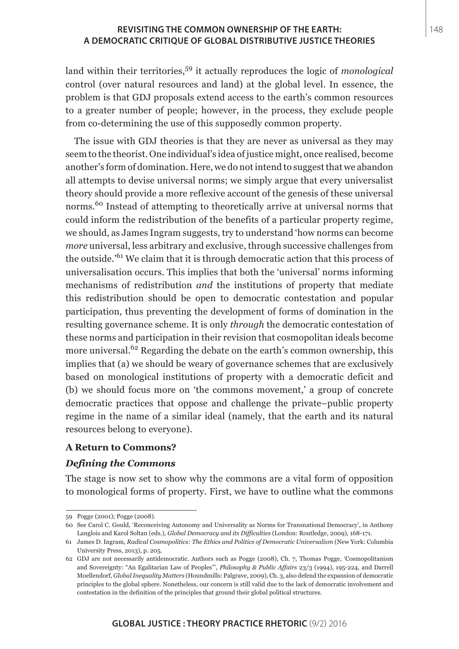land within their territories,59 it actually reproduces the logic of *monological* control (over natural resources and land) at the global level. In essence, the problem is that GDJ proposals extend access to the earth's common resources to a greater number of people; however, in the process, they exclude people from co-determining the use of this supposedly common property.

The issue with GDJ theories is that they are never as universal as they may seem to the theorist. One individual's idea of justice might, once realised, become another's form of domination. Here, we do not intend to suggest that we abandon all attempts to devise universal norms; we simply argue that every universalist theory should provide a more reflexive account of the genesis of these universal norms.<sup>60</sup> Instead of attempting to theoretically arrive at universal norms that could inform the redistribution of the benefits of a particular property regime, we should, as James Ingram suggests, try to understand 'how norms can become *more* universal, less arbitrary and exclusive, through successive challenges from the outside.'61 We claim that it is through democratic action that this process of universalisation occurs. This implies that both the 'universal' norms informing mechanisms of redistribution *and* the institutions of property that mediate this redistribution should be open to democratic contestation and popular participation, thus preventing the development of forms of domination in the resulting governance scheme. It is only *through* the democratic contestation of these norms and participation in their revision that cosmopolitan ideals become more universal.<sup>62</sup> Regarding the debate on the earth's common ownership, this implies that (a) we should be weary of governance schemes that are exclusively based on monological institutions of property with a democratic deficit and (b) we should focus more on 'the commons movement,' a group of concrete democratic practices that oppose and challenge the private–public property regime in the name of a similar ideal (namely, that the earth and its natural resources belong to everyone).

#### **A Return to Commons?**

#### *Defining the Commons*

The stage is now set to show why the commons are a vital form of opposition to monological forms of property. First, we have to outline what the commons

<sup>59</sup> Pogge (2001); Pogge (2008).

<sup>60</sup> See Carol C. Gould, 'Reconceiving Autonomy and Universality as Norms for Transnational Democracy', in Anthony Langlois and Karol Soltan (eds.), *Global Democracy and its Difficulties* (London: Routledge, 2009), 168-171.

<sup>61</sup> James D. Ingram, *Radical Cosmopolitics: The Ethics and Politics of Democratic Universalism* (New York: Columbia University Press, 2013), p. 205.

<sup>62</sup> GDJ are not necessarily antidemocratic. Authors such as Pogge (2008), Ch. 7, Thomas Pogge, 'Cosmopolitanism and Sovereignty: "An Egalitarian Law of Peoples"', *Philosophy & Public Affairs* 23/3 (1994), 195-224, and Darrell Moellendorf, *Global Inequality Matters* (Houndmills: Palgrave, 2009), Ch. 3, also defend the expansion of democratic principles to the global sphere. Nonetheless, our concern is still valid due to the lack of democratic involvement and contestation in the definition of the principles that ground their global political structures.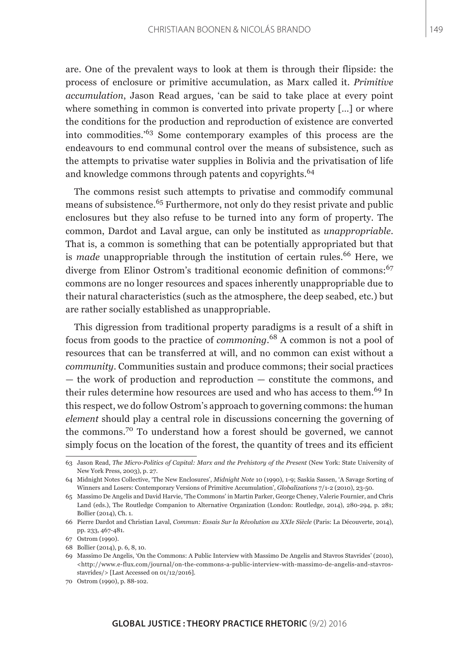are. One of the prevalent ways to look at them is through their flipside: the process of enclosure or primitive accumulation, as Marx called it. *Primitive accumulation*, Jason Read argues, 'can be said to take place at every point where something in common is converted into private property […] or where the conditions for the production and reproduction of existence are converted into commodities.'63 Some contemporary examples of this process are the endeavours to end communal control over the means of subsistence, such as the attempts to privatise water supplies in Bolivia and the privatisation of life and knowledge commons through patents and copyrights.<sup>64</sup>

The commons resist such attempts to privatise and commodify communal means of subsistence.<sup>65</sup> Furthermore, not only do they resist private and public enclosures but they also refuse to be turned into any form of property. The common, Dardot and Laval argue, can only be instituted as *unappropriable*. That is, a common is something that can be potentially appropriated but that is *made* unappropriable through the institution of certain rules.<sup>66</sup> Here, we diverge from Elinor Ostrom's traditional economic definition of commons:<sup>67</sup> commons are no longer resources and spaces inherently unappropriable due to their natural characteristics (such as the atmosphere, the deep seabed, etc.) but are rather socially established as unappropriable.

This digression from traditional property paradigms is a result of a shift in focus from goods to the practice of *commoning*. 68 A common is not a pool of resources that can be transferred at will, and no common can exist without a *community*. Communities sustain and produce commons; their social practices — the work of production and reproduction — constitute the commons, and their rules determine how resources are used and who has access to them.<sup>69</sup> In this respect, we do follow Ostrom's approach to governing commons: the human *element* should play a central role in discussions concerning the governing of the commons.70 To understand how a forest should be governed, we cannot simply focus on the location of the forest, the quantity of trees and its efficient

<sup>63</sup> Jason Read, *The Micro-Politics of Capital: Marx and the Prehistory of the Present* (New York: State University of New York Press, 2003), p. 27.

<sup>64</sup> Midnight Notes Collective, 'The New Enclosures', *Midnight Note* 10 (1990), 1-9; Saskia Sassen, 'A Savage Sorting of Winners and Losers: Contemporary Versions of Primitive Accumulation', *Globalizations* 7/1-2 (2010), 23-50.

<sup>65</sup> Massimo De Angelis and David Harvie, 'The Commons' in Martin Parker, George Cheney, Valerie Fournier, and Chris Land (eds.), The Routledge Companion to Alternative Organization (London: Routledge, 2014), 280-294, p. 281; Bollier (2014), Ch. 1.

<sup>66</sup> Pierre Dardot and Christian Laval, *Commun: Essais Sur la Révolution au XXIe Siècle* (Paris: La Découverte, 2014), pp. 233, 467-481.

<sup>67</sup> Ostrom (1990).

<sup>68</sup> Bollier (2014), p. 6, 8, 10.

<sup>69</sup> Massimo De Angelis, 'On the Commons: A Public Interview with Massimo De Angelis and Stavros Stavrides' (2010),  $\text{~d}$  -thtp://www.e-flux.com/journal/on-the-commons-a-public-interview-with-massimo-de-angelis-and-stavrosstavrides/> [Last Accessed on 01/12/2016].

<sup>70</sup> Ostrom (1990), p. 88-102.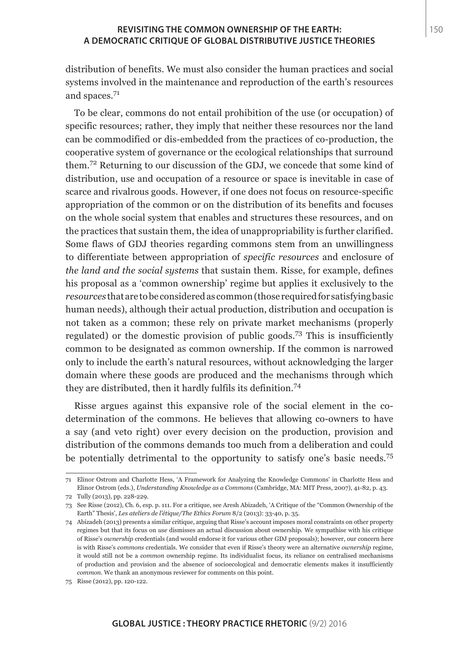distribution of benefits. We must also consider the human practices and social systems involved in the maintenance and reproduction of the earth's resources and spaces.<sup>71</sup>

To be clear, commons do not entail prohibition of the use (or occupation) of specific resources; rather, they imply that neither these resources nor the land can be commodified or dis-embedded from the practices of co-production, the cooperative system of governance or the ecological relationships that surround them.72 Returning to our discussion of the GDJ, we concede that some kind of distribution, use and occupation of a resource or space is inevitable in case of scarce and rivalrous goods. However, if one does not focus on resource-specific appropriation of the common or on the distribution of its benefits and focuses on the whole social system that enables and structures these resources, and on the practices that sustain them, the idea of unappropriability is further clarified. Some flaws of GDJ theories regarding commons stem from an unwillingness to differentiate between appropriation of *specific resources* and enclosure of *the land and the social systems* that sustain them. Risse, for example, defines his proposal as a 'common ownership' regime but applies it exclusively to the *resources* that are to be considered as common (those required for satisfying basic human needs), although their actual production, distribution and occupation is not taken as a common; these rely on private market mechanisms (properly regulated) or the domestic provision of public goods.73 This is insufficiently common to be designated as common ownership. If the common is narrowed only to include the earth's natural resources, without acknowledging the larger domain where these goods are produced and the mechanisms through which they are distributed, then it hardly fulfils its definition.<sup>74</sup>

Risse argues against this expansive role of the social element in the codetermination of the commons. He believes that allowing co-owners to have a say (and veto right) over every decision on the production, provision and distribution of the commons demands too much from a deliberation and could be potentially detrimental to the opportunity to satisfy one's basic needs.<sup>75</sup>

<sup>71</sup> Elinor Ostrom and Charlotte Hess, 'A Framework for Analyzing the Knowledge Commons' in Charlotte Hess and Elinor Ostrom (eds.), *Understanding Knowledge as a Commons* (Cambridge, MA: MIT Press, 2007), 41-82, p. 43.

<sup>72</sup> Tully (2013), pp. 228-229.

<sup>73</sup> See Risse (2012), Ch. 6, esp. p. 111. For a critique, see Aresh Abizadeh, 'A Critique of the "Common Ownership of the Earth" Thesis', *Les ateliers de l'étique/The Ethics Forum* 8/2 (2013): 33-40, p. 35.

<sup>74</sup> Abizadeh (2013) presents a similar critique, arguing that Risse's account imposes moral constraints on other property regimes but that its focus on *use* dismisses an actual discussion about ownership. We sympathise with his critique of Risse's *ownership* credentials (and would endorse it for various other GDJ proposals); however, our concern here is with Risse's *commons* credentials. We consider that even if Risse's theory were an alternative *ownership* regime, it would still not be a *common* ownership regime. Its individualist focus, its reliance on centralised mechanisms of production and provision and the absence of socioecological and democratic elements makes it insufficiently *common*. We thank an anonymous reviewer for comments on this point.

<sup>75</sup> Risse (2012), pp. 120-122.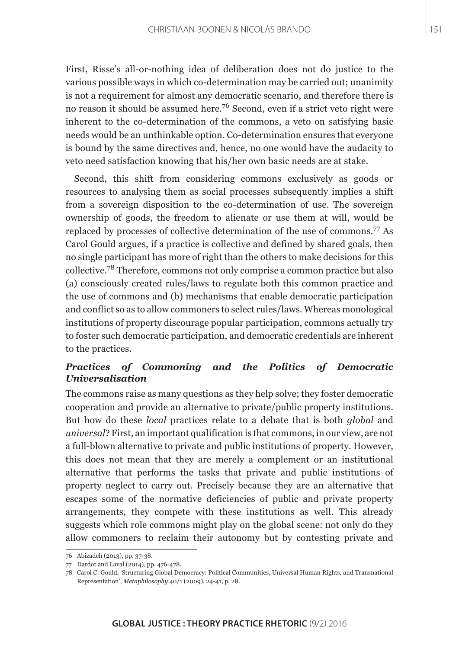First, Risse's all-or-nothing idea of deliberation does not do justice to the various possible ways in which co-determination may be carried out; unanimity is not a requirement for almost any democratic scenario, and therefore there is no reason it should be assumed here.<sup>76</sup> Second, even if a strict veto right were inherent to the co-determination of the commons, a veto on satisfying basic needs would be an unthinkable option. Co-determination ensures that everyone is bound by the same directives and, hence, no one would have the audacity to veto need satisfaction knowing that his/her own basic needs are at stake.

Second, this shift from considering commons exclusively as goods or resources to analysing them as social processes subsequently implies a shift from a sovereign disposition to the co-determination of use. The sovereign ownership of goods, the freedom to alienate or use them at will, would be replaced by processes of collective determination of the use of commons.77 As Carol Gould argues, if a practice is collective and defined by shared goals, then no single participant has more of right than the others to make decisions for this collective.78 Therefore, commons not only comprise a common practice but also (a) consciously created rules/laws to regulate both this common practice and the use of commons and (b) mechanisms that enable democratic participation and conflict so as to allow commoners to select rules/laws. Whereas monological institutions of property discourage popular participation, commons actually try to foster such democratic participation, and democratic credentials are inherent to the practices.

## *Practices of Commoning and the Politics of Democratic Universalisation*

The commons raise as many questions as they help solve; they foster democratic cooperation and provide an alternative to private/public property institutions. But how do these *local* practices relate to a debate that is both *global* and *universal*? First, an important qualification is that commons, in our view, are not a full-blown alternative to private and public institutions of property. However, this does not mean that they are merely a complement or an institutional alternative that performs the tasks that private and public institutions of property neglect to carry out. Precisely because they are an alternative that escapes some of the normative deficiencies of public and private property arrangements, they compete with these institutions as well. This already suggests which role commons might play on the global scene: not only do they allow commoners to reclaim their autonomy but by contesting private and

<sup>76</sup> Abizadeh (2013), pp. 37-38.

<sup>77</sup> Dardot and Laval (2014), pp. 476-478.

<sup>78</sup> Carol C. Gould, 'Structuring Global Democracy: Political Communities, Universal Human Rights, and Transnational Representation', *Metaphilosophy* 40/1 (2009), 24-41, p. 28.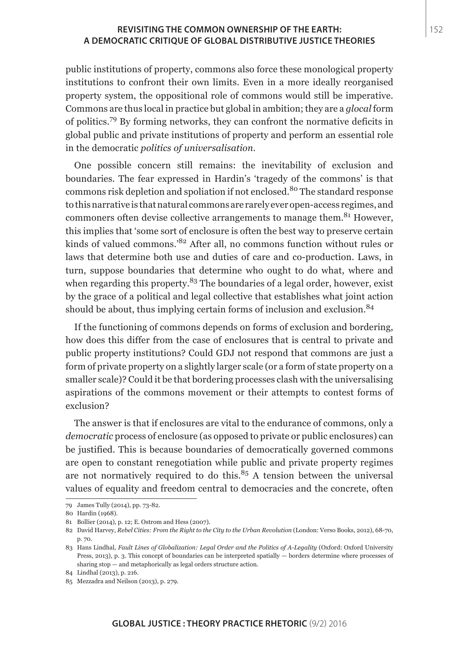public institutions of property, commons also force these monological property institutions to confront their own limits. Even in a more ideally reorganised property system, the oppositional role of commons would still be imperative. Commons are thus local in practice but global in ambition; they are a *glocal* form of politics.79 By forming networks, they can confront the normative deficits in global public and private institutions of property and perform an essential role in the democratic *politics of universalisation*.

One possible concern still remains: the inevitability of exclusion and boundaries. The fear expressed in Hardin's 'tragedy of the commons' is that commons risk depletion and spoliation if not enclosed.<sup>80</sup> The standard response to this narrative is that natural commons are rarely ever open-access regimes, and commoners often devise collective arrangements to manage them.<sup>81</sup> However, this implies that 'some sort of enclosure is often the best way to preserve certain kinds of valued commons.'82 After all, no commons function without rules or laws that determine both use and duties of care and co-production. Laws, in turn, suppose boundaries that determine who ought to do what, where and when regarding this property.<sup>83</sup> The boundaries of a legal order, however, exist by the grace of a political and legal collective that establishes what joint action should be about, thus implying certain forms of inclusion and exclusion.<sup>84</sup>

If the functioning of commons depends on forms of exclusion and bordering, how does this differ from the case of enclosures that is central to private and public property institutions? Could GDJ not respond that commons are just a form of private property on a slightly larger scale (or a form of state property on a smaller scale)? Could it be that bordering processes clash with the universalising aspirations of the commons movement or their attempts to contest forms of exclusion?

The answer is that if enclosures are vital to the endurance of commons, only a *democratic* process of enclosure (as opposed to private or public enclosures) can be justified. This is because boundaries of democratically governed commons are open to constant renegotiation while public and private property regimes are not normatively required to do this. $85$  A tension between the universal values of equality and freedom central to democracies and the concrete, often

<sup>79</sup> James Tully (2014), pp. 73-82.

<sup>80</sup> Hardin (1968).

<sup>81</sup> Bollier (2014), p. 12; E. Ostrom and Hess (2007).

<sup>82</sup> David Harvey, *Rebel Cities: From the Right to the City to the Urban Revolution* (London: Verso Books, 2012), 68-70, p. 70.

<sup>83</sup> Hans Lindhal, *Fault Lines of Globalization: Legal Order and the Politics of A-Legality* (Oxford: Oxford University Press, 2013), p. 3. This concept of boundaries can be interpreted spatially — borders determine where processes of sharing stop — and metaphorically as legal orders structure action.

<sup>84</sup> Lindhal (2013), p. 216.

<sup>85</sup> Mezzadra and Neilson (2013), p. 279.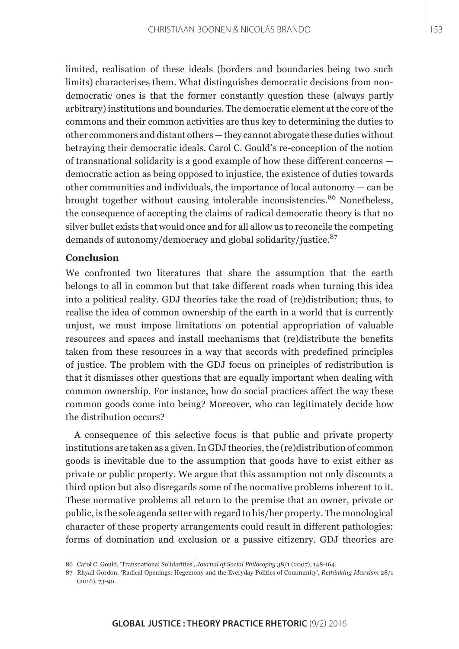limited, realisation of these ideals (borders and boundaries being two such limits) characterises them. What distinguishes democratic decisions from nondemocratic ones is that the former constantly question these (always partly arbitrary) institutions and boundaries. The democratic element at the core of the commons and their common activities are thus key to determining the duties to other commoners and distant others — they cannot abrogate these duties without betraying their democratic ideals. Carol C. Gould's re-conception of the notion of transnational solidarity is a good example of how these different concerns democratic action as being opposed to injustice, the existence of duties towards other communities and individuals, the importance of local autonomy — can be brought together without causing intolerable inconsistencies.<sup>86</sup> Nonetheless, the consequence of accepting the claims of radical democratic theory is that no silver bullet exists that would once and for all allow us to reconcile the competing demands of autonomy/democracy and global solidarity/justice.<sup>87</sup>

#### **Conclusion**

We confronted two literatures that share the assumption that the earth belongs to all in common but that take different roads when turning this idea into a political reality. GDJ theories take the road of (re)distribution; thus, to realise the idea of common ownership of the earth in a world that is currently unjust, we must impose limitations on potential appropriation of valuable resources and spaces and install mechanisms that (re)distribute the benefits taken from these resources in a way that accords with predefined principles of justice. The problem with the GDJ focus on principles of redistribution is that it dismisses other questions that are equally important when dealing with common ownership. For instance, how do social practices affect the way these common goods come into being? Moreover, who can legitimately decide how the distribution occurs?

A consequence of this selective focus is that public and private property institutions are taken as a given. In GDJ theories, the (re)distribution of common goods is inevitable due to the assumption that goods have to exist either as private or public property. We argue that this assumption not only discounts a third option but also disregards some of the normative problems inherent to it. These normative problems all return to the premise that an owner, private or public, is the sole agenda setter with regard to his/her property. The monological character of these property arrangements could result in different pathologies: forms of domination and exclusion or a passive citizenry. GDJ theories are

<sup>86</sup> Carol C. Gould, 'Transnational Solidarities', *Journal of Social Philosophy* 38/1 (2007), 148-164.

<sup>87</sup> Rhyall Gordon, 'Radical Openings: Hegemony and the Everyday Politics of Community', *Rethinking Marxism* 28/1 (2016), 73-90.